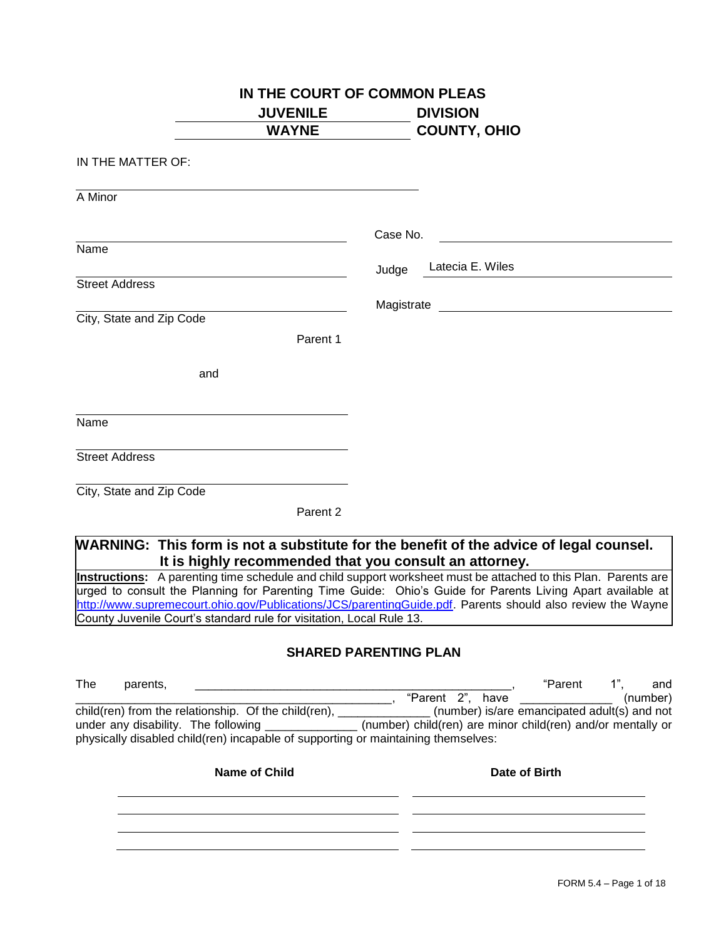| <b>JUVENILE</b><br><b>WAYNE</b>                                                         | <b>DIVISION</b><br><b>COUNTY, OHIO</b>                                                                                                                                                                                                                                                                                                     |
|-----------------------------------------------------------------------------------------|--------------------------------------------------------------------------------------------------------------------------------------------------------------------------------------------------------------------------------------------------------------------------------------------------------------------------------------------|
|                                                                                         |                                                                                                                                                                                                                                                                                                                                            |
| IN THE MATTER OF:                                                                       |                                                                                                                                                                                                                                                                                                                                            |
| A Minor                                                                                 |                                                                                                                                                                                                                                                                                                                                            |
|                                                                                         |                                                                                                                                                                                                                                                                                                                                            |
| Name                                                                                    | Case No.                                                                                                                                                                                                                                                                                                                                   |
|                                                                                         | Latecia E. Wiles<br>Judge                                                                                                                                                                                                                                                                                                                  |
| <b>Street Address</b>                                                                   |                                                                                                                                                                                                                                                                                                                                            |
|                                                                                         |                                                                                                                                                                                                                                                                                                                                            |
| City, State and Zip Code<br>Parent 1                                                    |                                                                                                                                                                                                                                                                                                                                            |
|                                                                                         |                                                                                                                                                                                                                                                                                                                                            |
| and                                                                                     |                                                                                                                                                                                                                                                                                                                                            |
|                                                                                         |                                                                                                                                                                                                                                                                                                                                            |
| Name                                                                                    |                                                                                                                                                                                                                                                                                                                                            |
|                                                                                         |                                                                                                                                                                                                                                                                                                                                            |
| <b>Street Address</b>                                                                   |                                                                                                                                                                                                                                                                                                                                            |
| City, State and Zip Code                                                                |                                                                                                                                                                                                                                                                                                                                            |
| Parent 2                                                                                |                                                                                                                                                                                                                                                                                                                                            |
|                                                                                         |                                                                                                                                                                                                                                                                                                                                            |
|                                                                                         | WARNING: This form is not a substitute for the benefit of the advice of legal counsel.                                                                                                                                                                                                                                                     |
|                                                                                         |                                                                                                                                                                                                                                                                                                                                            |
| It is highly recommended that you consult an attorney.                                  |                                                                                                                                                                                                                                                                                                                                            |
|                                                                                         |                                                                                                                                                                                                                                                                                                                                            |
|                                                                                         | Instructions: A parenting time schedule and child support worksheet must be attached to this Plan. Parents are<br>urged to consult the Planning for Parenting Time Guide: Ohio's Guide for Parents Living Apart available at<br>http://www.supremecourt.ohio.gov/Publications/JCS/parentingGuide.pdf. Parents should also review the Wayne |
|                                                                                         |                                                                                                                                                                                                                                                                                                                                            |
|                                                                                         | <b>SHARED PARENTING PLAN</b>                                                                                                                                                                                                                                                                                                               |
| County Juvenile Court's standard rule for visitation, Local Rule 13.<br>The<br>parents, | "Parent<br>$1$ ",                                                                                                                                                                                                                                                                                                                          |
|                                                                                         |                                                                                                                                                                                                                                                                                                                                            |
|                                                                                         |                                                                                                                                                                                                                                                                                                                                            |
|                                                                                         |                                                                                                                                                                                                                                                                                                                                            |
|                                                                                         | and<br>(number)<br>child(ren) from the relationship. Of the child(ren), ______________ (number) is/are emancipated adult(s) and not                                                                                                                                                                                                        |
| <b>Name of Child</b>                                                                    | Date of Birth                                                                                                                                                                                                                                                                                                                              |
|                                                                                         |                                                                                                                                                                                                                                                                                                                                            |
| physically disabled child(ren) incapable of supporting or maintaining themselves:       |                                                                                                                                                                                                                                                                                                                                            |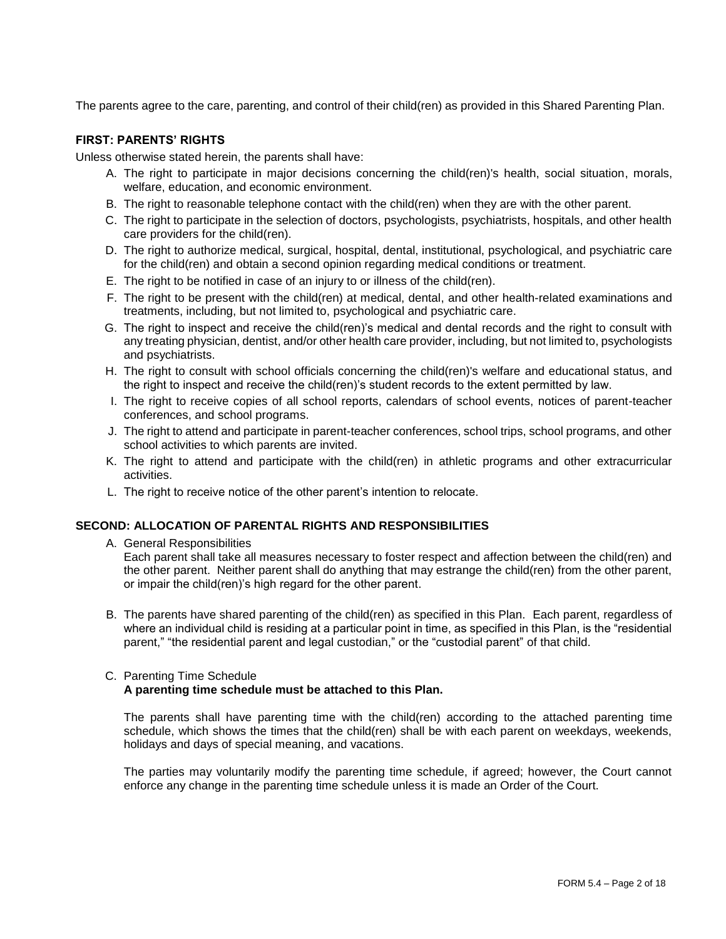The parents agree to the care, parenting, and control of their child(ren) as provided in this Shared Parenting Plan.

# **FIRST: PARENTS' RIGHTS**

Unless otherwise stated herein, the parents shall have:

- A. The right to participate in major decisions concerning the child(ren)'s health, social situation, morals, welfare, education, and economic environment.
- B. The right to reasonable telephone contact with the child(ren) when they are with the other parent.
- C. The right to participate in the selection of doctors, psychologists, psychiatrists, hospitals, and other health care providers for the child(ren).
- D. The right to authorize medical, surgical, hospital, dental, institutional, psychological, and psychiatric care for the child(ren) and obtain a second opinion regarding medical conditions or treatment.
- E. The right to be notified in case of an injury to or illness of the child(ren).
- F. The right to be present with the child(ren) at medical, dental, and other health-related examinations and treatments, including, but not limited to, psychological and psychiatric care.
- G. The right to inspect and receive the child(ren)'s medical and dental records and the right to consult with any treating physician, dentist, and/or other health care provider, including, but not limited to, psychologists and psychiatrists.
- H. The right to consult with school officials concerning the child(ren)'s welfare and educational status, and the right to inspect and receive the child(ren)'s student records to the extent permitted by law.
- I. The right to receive copies of all school reports, calendars of school events, notices of parent-teacher conferences, and school programs.
- J. The right to attend and participate in parent-teacher conferences, school trips, school programs, and other school activities to which parents are invited.
- K. The right to attend and participate with the child(ren) in athletic programs and other extracurricular activities.
- L. The right to receive notice of the other parent's intention to relocate.

## **SECOND: ALLOCATION OF PARENTAL RIGHTS AND RESPONSIBILITIES**

A. General Responsibilities

Each parent shall take all measures necessary to foster respect and affection between the child(ren) and the other parent. Neither parent shall do anything that may estrange the child(ren) from the other parent, or impair the child(ren)'s high regard for the other parent.

B. The parents have shared parenting of the child(ren) as specified in this Plan. Each parent, regardless of where an individual child is residing at a particular point in time, as specified in this Plan, is the "residential parent," "the residential parent and legal custodian," or the "custodial parent" of that child.

#### C. Parenting Time Schedule **A parenting time schedule must be attached to this Plan.**

The parents shall have parenting time with the child(ren) according to the attached parenting time schedule, which shows the times that the child(ren) shall be with each parent on weekdays, weekends, holidays and days of special meaning, and vacations.

The parties may voluntarily modify the parenting time schedule, if agreed; however, the Court cannot enforce any change in the parenting time schedule unless it is made an Order of the Court.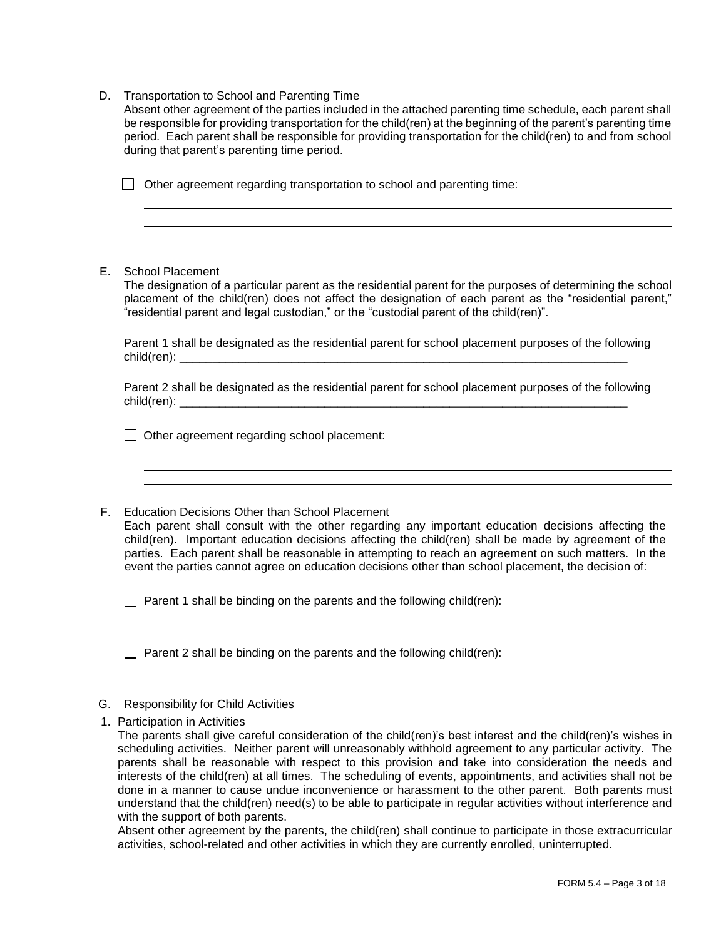D. Transportation to School and Parenting Time

during that parent's parenting time period. Absent other agreement of the parties included in the attached parenting time schedule, each parent shall be responsible for providing transportation for the child(ren) at the beginning of the parent's parenting time period. Each parent shall be responsible for providing transportation for the child(ren) to and from school

 $\Box$  Other agreement regarding transportation to school and parenting time:

E. School Placement

The designation of a particular parent as the residential parent for the purposes of determining the school placement of the child(ren) does not affect the designation of each parent as the "residential parent," "residential parent and legal custodian," or the "custodial parent of the child(ren)".

Parent 1 shall be designated as the residential parent for school placement purposes of the following child(ren): \_\_\_\_\_\_\_\_\_\_\_\_\_\_\_\_\_\_\_\_\_\_\_\_\_\_\_\_\_\_\_\_\_\_\_\_\_\_\_\_\_\_\_\_\_\_\_\_\_\_\_\_\_\_\_\_\_\_\_\_\_\_\_\_\_\_\_\_

Parent 2 shall be designated as the residential parent for school placement purposes of the following child(ren):  $\blacksquare$ 

 $\Box$  Other agreement regarding school placement:

F. Education Decisions Other than School Placement Each parent shall consult with the other regarding any important education decisions affecting the child(ren). Important education decisions affecting the child(ren) shall be made by agreement of the parties. Each parent shall be reasonable in attempting to reach an agreement on such matters. In the event the parties cannot agree on education decisions other than school placement, the decision of:

 $\Box$  Parent 1 shall be binding on the parents and the following child(ren):

 $\Box$  Parent 2 shall be binding on the parents and the following child(ren):

## G. Responsibility for Child Activities

1. Participation in Activities

The parents shall give careful consideration of the child(ren)'s best interest and the child(ren)'s wishes in scheduling activities. Neither parent will unreasonably withhold agreement to any particular activity. The parents shall be reasonable with respect to this provision and take into consideration the needs and interests of the child(ren) at all times. The scheduling of events, appointments, and activities shall not be done in a manner to cause undue inconvenience or harassment to the other parent. Both parents must understand that the child(ren) need(s) to be able to participate in regular activities without interference and with the support of both parents.

Absent other agreement by the parents, the child(ren) shall continue to participate in those extracurricular activities, school-related and other activities in which they are currently enrolled, uninterrupted.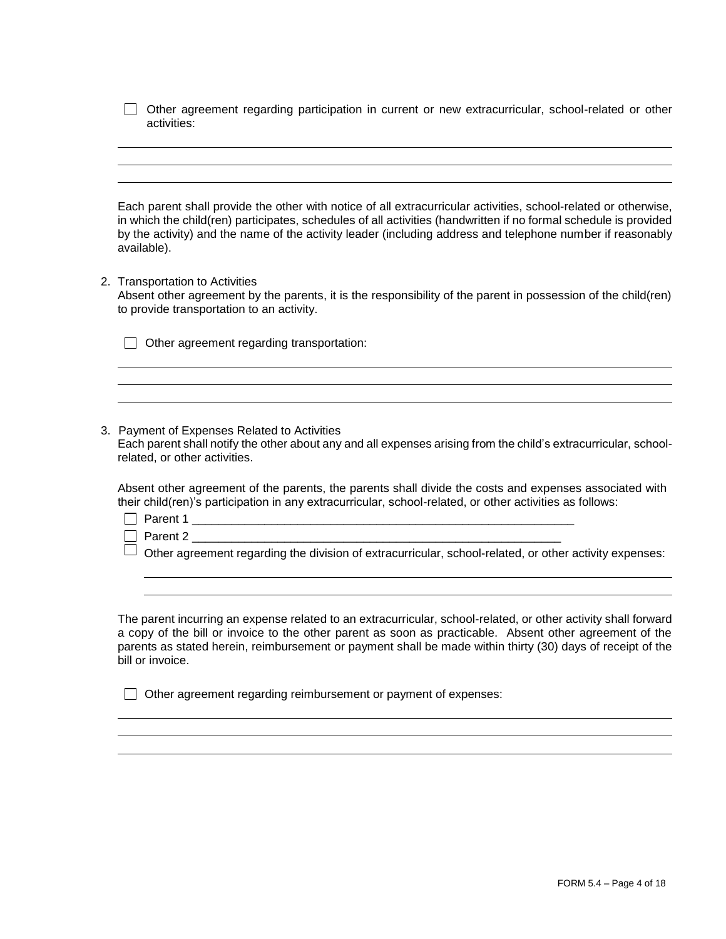|             |  |  |  | □ Other agreement regarding participation in current or new extracurricular, school-related or other |  |  |
|-------------|--|--|--|------------------------------------------------------------------------------------------------------|--|--|
| activities: |  |  |  |                                                                                                      |  |  |

Each parent shall provide the other with notice of all extracurricular activities, school-related or otherwise, in which the child(ren) participates, schedules of all activities (handwritten if no formal schedule is provided by the activity) and the name of the activity leader (including address and telephone number if reasonably available).

2. Transportation to Activities

Absent other agreement by the parents, it is the responsibility of the parent in possession of the child(ren) to provide transportation to an activity.

| $\Box$ Other agreement regarding transportation: |  |  |  |  |  |  |
|--------------------------------------------------|--|--|--|--|--|--|
|--------------------------------------------------|--|--|--|--|--|--|

3. Payment of Expenses Related to Activities Each parent shall notify the other about any and all expenses arising from the child's extracurricular, schoolrelated, or other activities.

Absent other agreement of the parents, the parents shall divide the costs and expenses associated with their child(ren)'s participation in any extracurricular, school-related, or other activities as follows:

Parent 1 \_\_\_\_\_\_\_\_\_\_\_\_\_\_\_\_\_\_\_\_\_\_\_\_\_\_\_\_\_\_\_\_\_\_\_\_\_\_\_\_\_\_\_\_\_\_\_\_\_\_\_\_\_\_\_\_\_\_

 $\Box$  Parent 2

 $\Box$  Other agreement regarding the division of extracurricular, school-related, or other activity expenses:

The parent incurring an expense related to an extracurricular, school-related, or other activity shall forward a copy of the bill or invoice to the other parent as soon as practicable. Absent other agreement of the parents as stated herein, reimbursement or payment shall be made within thirty (30) days of receipt of the bill or invoice.

 $\Box$  Other agreement regarding reimbursement or payment of expenses: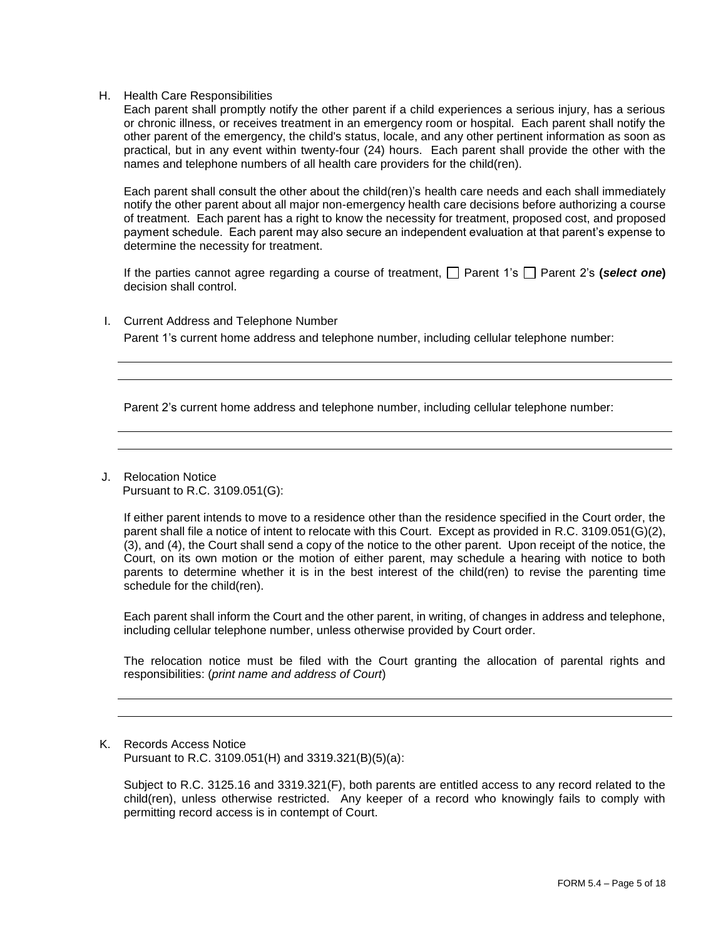H. Health Care Responsibilities

Each parent shall promptly notify the other parent if a child experiences a serious injury, has a serious or chronic illness, or receives treatment in an emergency room or hospital. Each parent shall notify the other parent of the emergency, the child's status, locale, and any other pertinent information as soon as practical, but in any event within twenty-four (24) hours. Each parent shall provide the other with the names and telephone numbers of all health care providers for the child(ren).

Each parent shall consult the other about the child(ren)'s health care needs and each shall immediately notify the other parent about all major non-emergency health care decisions before authorizing a course of treatment. Each parent has a right to know the necessity for treatment, proposed cost, and proposed payment schedule. Each parent may also secure an independent evaluation at that parent's expense to determine the necessity for treatment.

If the parties cannot agree regarding a course of treatment,  $\Box$  Parent 1's  $\Box$  Parent 2's **(***select one*) decision shall control.

I. Current Address and Telephone Number

Parent 1's current home address and telephone number, including cellular telephone number:

Parent 2's current home address and telephone number, including cellular telephone number:

J. Relocation Notice Pursuant to R.C. 3109.051(G):

> If either parent intends to move to a residence other than the residence specified in the Court order, the parent shall file a notice of intent to relocate with this Court. Except as provided in R.C. 3109.051(G)(2), (3), and (4), the Court shall send a copy of the notice to the other parent. Upon receipt of the notice, the Court, on its own motion or the motion of either parent, may schedule a hearing with notice to both parents to determine whether it is in the best interest of the child(ren) to revise the parenting time schedule for the child(ren).

> Each parent shall inform the Court and the other parent, in writing, of changes in address and telephone, including cellular telephone number, unless otherwise provided by Court order.

> The relocation notice must be filed with the Court granting the allocation of parental rights and responsibilities: (*print name and address of Court*)

K. Records Access Notice Pursuant to R.C. 3109.051(H) and 3319.321(B)(5)(a):

Subject to R.C. 3125.16 and 3319.321(F), both parents are entitled access to any record related to the child(ren), unless otherwise restricted. Any keeper of a record who knowingly fails to comply with permitting record access is in contempt of Court.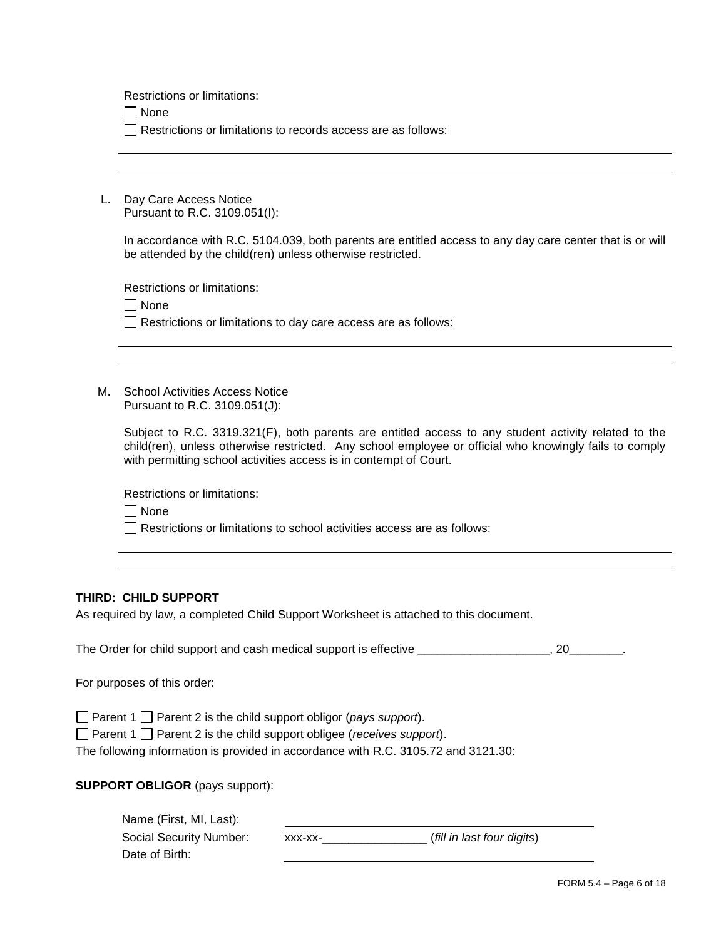Restrictions or limitations:

None

Restrictions or limitations to records access are as follows:

L. Day Care Access Notice Pursuant to R.C. 3109.051(I):

> In accordance with R.C. 5104.039, both parents are entitled access to any day care center that is or will be attended by the child(ren) unless otherwise restricted.

Restrictions or limitations:

 $\Box$  None

 $\Box$  Restrictions or limitations to day care access are as follows:

M. School Activities Access Notice Pursuant to R.C. 3109.051(J):

> Subject to R.C. 3319.321(F), both parents are entitled access to any student activity related to the child(ren), unless otherwise restricted. Any school employee or official who knowingly fails to comply with permitting school activities access is in contempt of Court.

Restrictions or limitations:

 $\Box$  None

Restrictions or limitations to school activities access are as follows:

## **THIRD: CHILD SUPPORT**

As required by law, a completed Child Support Worksheet is attached to this document.

The Order for child support and cash medical support is effective \_\_\_\_\_\_\_\_\_\_\_\_\_\_\_\_, 20\_\_\_\_\_\_\_.

For purposes of this order:

□ Parent 1 □ Parent 2 is the child support obligor (*pays support*).

□ Parent 1 □ Parent 2 is the child support obligee (*receives support*).

The following information is provided in accordance with R.C. 3105.72 and 3121.30:

**SUPPORT OBLIGOR** (pays support):

| Name (First, MI, Last): |         |                            |  |
|-------------------------|---------|----------------------------|--|
| Social Security Number: | XXX-XX- | (fill in last four digits) |  |
| Date of Birth:          |         |                            |  |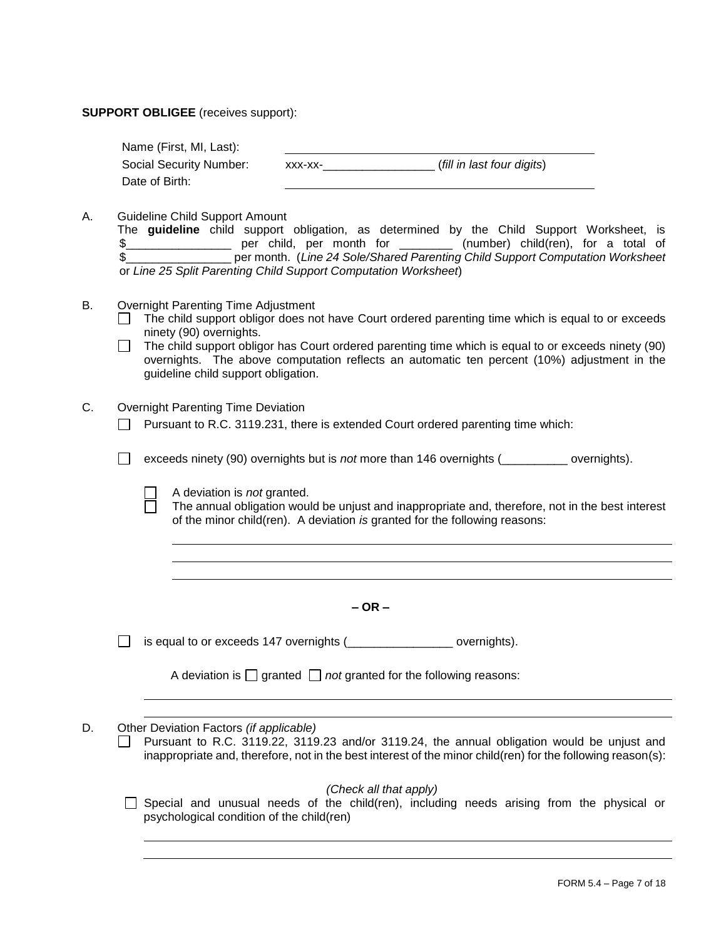#### **SUPPORT OBLIGEE** (receives support):

| Name (First, MI, Last): |         |                            |
|-------------------------|---------|----------------------------|
| Social Security Number: | XXX-XX- | (fill in last four digits) |
| Date of Birth:          |         |                            |

A. Guideline Child Support Amount

|    |  |  | The <b>guideline</b> child support obligation, as determined by the Child Support Worksheet, is |  |  |  |  |
|----|--|--|-------------------------------------------------------------------------------------------------|--|--|--|--|
| D. |  |  | per child, per month for _________ (number) child(ren), for a total of                          |  |  |  |  |
|    |  |  | per month. (Line 24 Sole/Shared Parenting Child Support Computation Worksheet                   |  |  |  |  |
|    |  |  | or Line 25 Split Parenting Child Support Computation Worksheet)                                 |  |  |  |  |

- B. Overnight Parenting Time Adjustment
	- The child support obligor does not have Court ordered parenting time which is equal to or exceeds ninety (90) overnights.
	- $\Box$  The child support obligor has Court ordered parenting time which is equal to or exceeds ninety (90) overnights. The above computation reflects an automatic ten percent (10%) adjustment in the guideline child support obligation.
- C. Overnight Parenting Time Deviation
	- Pursuant to R.C. 3119.231, there is extended Court ordered parenting time which:

exceeds ninety (90) overnights but is *not* more than 146 overnights (exceeds ninety (90) overnights).

A deviation is *not* granted.

The annual obligation would be unjust and inappropriate and, therefore, not in the best interest of the minor child(ren). A deviation *is* granted for the following reasons:

**– OR –**

 $\Box$  is equal to or exceeds 147 overnights ( $\Box$ 

| A deviation is $\Box$ granted $\Box$ not granted for the following reasons: |  |  |
|-----------------------------------------------------------------------------|--|--|
|-----------------------------------------------------------------------------|--|--|

D. Other Deviation Factors *(if applicable)*

Pursuant to R.C. 3119.22, 3119.23 and/or 3119.24, the annual obligation would be unjust and  $\Box$ inappropriate and, therefore, not in the best interest of the minor child(ren) for the following reason(s):

 *(Check all that apply)*

 $\Box$  Special and unusual needs of the child(ren), including needs arising from the physical or psychological condition of the child(ren)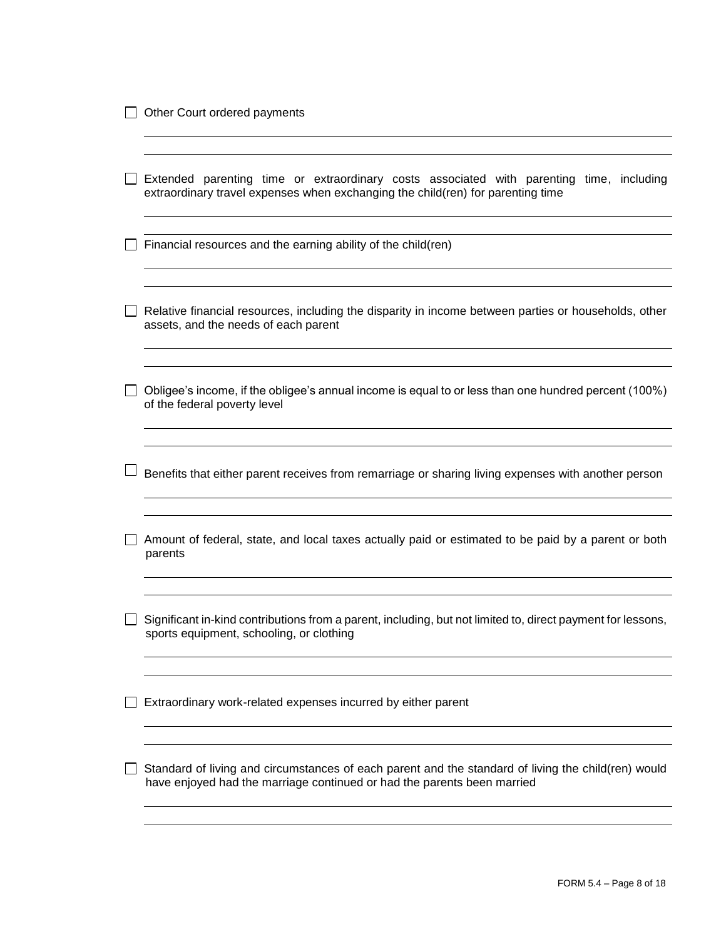| Extended parenting time or extraordinary costs associated with parenting time, including<br>extraordinary travel expenses when exchanging the child(ren) for parenting time    |
|--------------------------------------------------------------------------------------------------------------------------------------------------------------------------------|
| Financial resources and the earning ability of the child(ren)                                                                                                                  |
| Relative financial resources, including the disparity in income between parties or households, other<br>assets, and the needs of each parent                                   |
| Obligee's income, if the obligee's annual income is equal to or less than one hundred percent (100%)<br>of the federal poverty level                                           |
| Benefits that either parent receives from remarriage or sharing living expenses with another person                                                                            |
| Amount of federal, state, and local taxes actually paid or estimated to be paid by a parent or both<br>parents                                                                 |
| Significant in-kind contributions from a parent, including, but not limited to, direct payment for lessons,<br>sports equipment, schooling, or clothing                        |
| Extraordinary work-related expenses incurred by either parent                                                                                                                  |
| Standard of living and circumstances of each parent and the standard of living the child(ren) would<br>have enjoyed had the marriage continued or had the parents been married |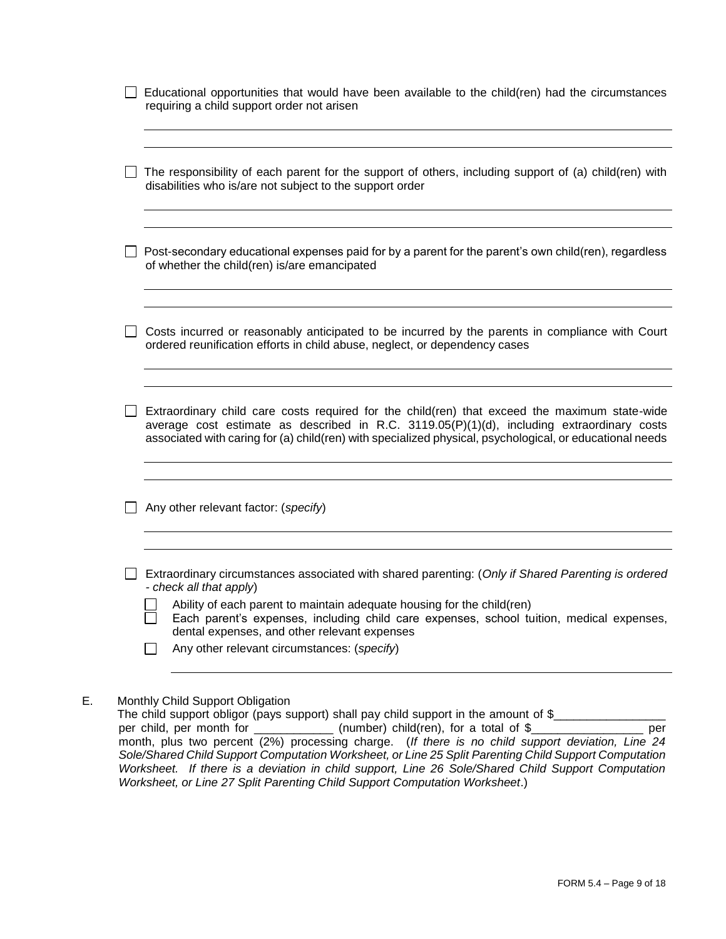| Educational opportunities that would have been available to the child(ren) had the circumstances<br>requiring a child support order not arisen                                                                                                                                                                                                                                                     |
|----------------------------------------------------------------------------------------------------------------------------------------------------------------------------------------------------------------------------------------------------------------------------------------------------------------------------------------------------------------------------------------------------|
| The responsibility of each parent for the support of others, including support of (a) child(ren) with<br>disabilities who is/are not subject to the support order                                                                                                                                                                                                                                  |
| Post-secondary educational expenses paid for by a parent for the parent's own child(ren), regardless<br>of whether the child(ren) is/are emancipated                                                                                                                                                                                                                                               |
| Costs incurred or reasonably anticipated to be incurred by the parents in compliance with Court<br>ordered reunification efforts in child abuse, neglect, or dependency cases                                                                                                                                                                                                                      |
| Extraordinary child care costs required for the child(ren) that exceed the maximum state-wide<br>average cost estimate as described in R.C. 3119.05(P)(1)(d), including extraordinary costs<br>associated with caring for (a) child(ren) with specialized physical, psychological, or educational needs                                                                                            |
| Any other relevant factor: (specify)                                                                                                                                                                                                                                                                                                                                                               |
| Extraordinary circumstances associated with shared parenting: (Only if Shared Parenting is ordered<br>- check all that apply)<br>Ability of each parent to maintain adequate housing for the child(ren)<br>Each parent's expenses, including child care expenses, school tuition, medical expenses,<br>dental expenses, and other relevant expenses<br>Any other relevant circumstances: (specify) |

The child support obligor (pays support) shall pay child support in the amount of  $\frac{2}{2}$  per child, per month for \_\_\_\_\_\_\_\_\_\_\_\_\_\_\_\_ (number) child(ren), for a total of  $\frac{2}{2}$ (number) child(ren), for a total of  $\frac{1}{2}$ month, plus two percent (2%) processing charge. (*If there is no child support deviation, Line 24 Sole/Shared Child Support Computation Worksheet, or Line 25 Split Parenting Child Support Computation Worksheet. If there is a deviation in child support, Line 26 Sole/Shared Child Support Computation Worksheet, or Line 27 Split Parenting Child Support Computation Worksheet*.)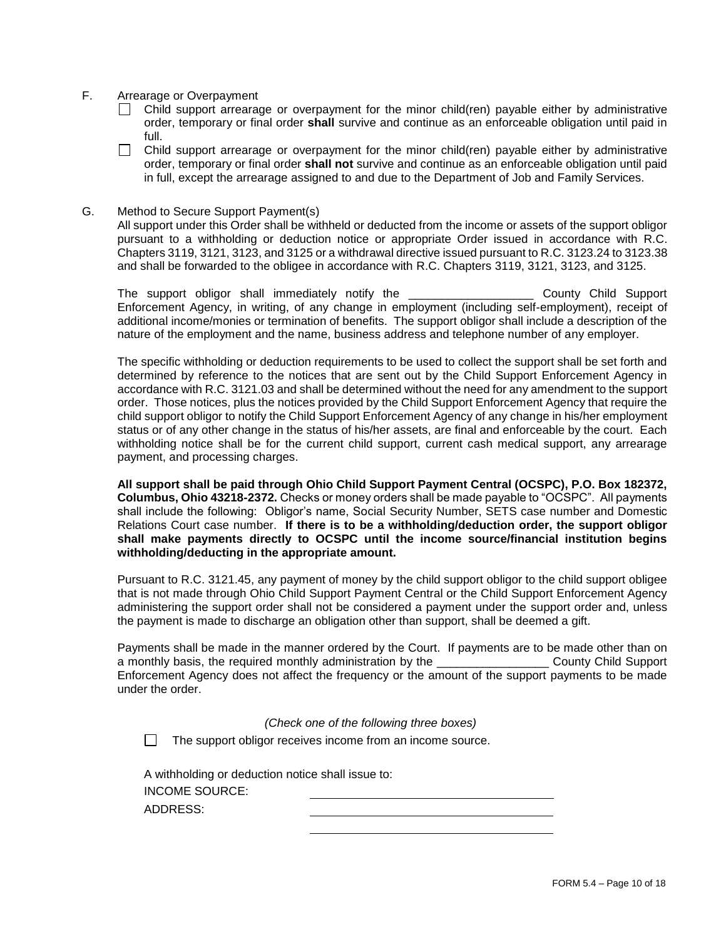- F. Arrearage or Overpayment
	- $\Box$  Child support arrearage or overpayment for the minor child(ren) payable either by administrative order, temporary or final order **shall** survive and continue as an enforceable obligation until paid in full.
	- П. Child support arrearage or overpayment for the minor child(ren) payable either by administrative order, temporary or final order **shall not** survive and continue as an enforceable obligation until paid in full, except the arrearage assigned to and due to the Department of Job and Family Services.
- G. Method to Secure Support Payment(s)

All support under this Order shall be withheld or deducted from the income or assets of the support obligor pursuant to a withholding or deduction notice or appropriate Order issued in accordance with R.C. Chapters 3119, 3121, 3123, and 3125 or a withdrawal directive issued pursuant to R.C. 3123.24 to 3123.38 and shall be forwarded to the obligee in accordance with R.C. Chapters 3119, 3121, 3123, and 3125.

The support obligor shall immediately notify the \_\_\_\_\_\_\_\_\_\_\_\_\_\_\_\_\_\_\_ County Child Support Enforcement Agency, in writing, of any change in employment (including self-employment), receipt of additional income/monies or termination of benefits. The support obligor shall include a description of the nature of the employment and the name, business address and telephone number of any employer.

The specific withholding or deduction requirements to be used to collect the support shall be set forth and determined by reference to the notices that are sent out by the Child Support Enforcement Agency in accordance with R.C. 3121.03 and shall be determined without the need for any amendment to the support order. Those notices, plus the notices provided by the Child Support Enforcement Agency that require the child support obligor to notify the Child Support Enforcement Agency of any change in his/her employment status or of any other change in the status of his/her assets, are final and enforceable by the court. Each withholding notice shall be for the current child support, current cash medical support, any arrearage payment, and processing charges.

**All support shall be paid through Ohio Child Support Payment Central (OCSPC), P.O. Box 182372, Columbus, Ohio 43218-2372.** Checks or money orders shall be made payable to "OCSPC". All payments shall include the following: Obligor's name, Social Security Number, SETS case number and Domestic Relations Court case number. **If there is to be a withholding/deduction order, the support obligor shall make payments directly to OCSPC until the income source/financial institution begins withholding/deducting in the appropriate amount.**

Pursuant to R.C. 3121.45, any payment of money by the child support obligor to the child support obligee that is not made through Ohio Child Support Payment Central or the Child Support Enforcement Agency administering the support order shall not be considered a payment under the support order and, unless the payment is made to discharge an obligation other than support, shall be deemed a gift.

Payments shall be made in the manner ordered by the Court. If payments are to be made other than on a monthly basis, the required monthly administration by the \_\_\_\_\_\_\_\_\_\_\_\_\_\_\_\_\_ County Child Support Enforcement Agency does not affect the frequency or the amount of the support payments to be made under the order.

*(Check one of the following three boxes)*

 $\Box$  The support obligor receives income from an income source.

A withholding or deduction notice shall issue to: INCOME SOURCE: ADDRESS: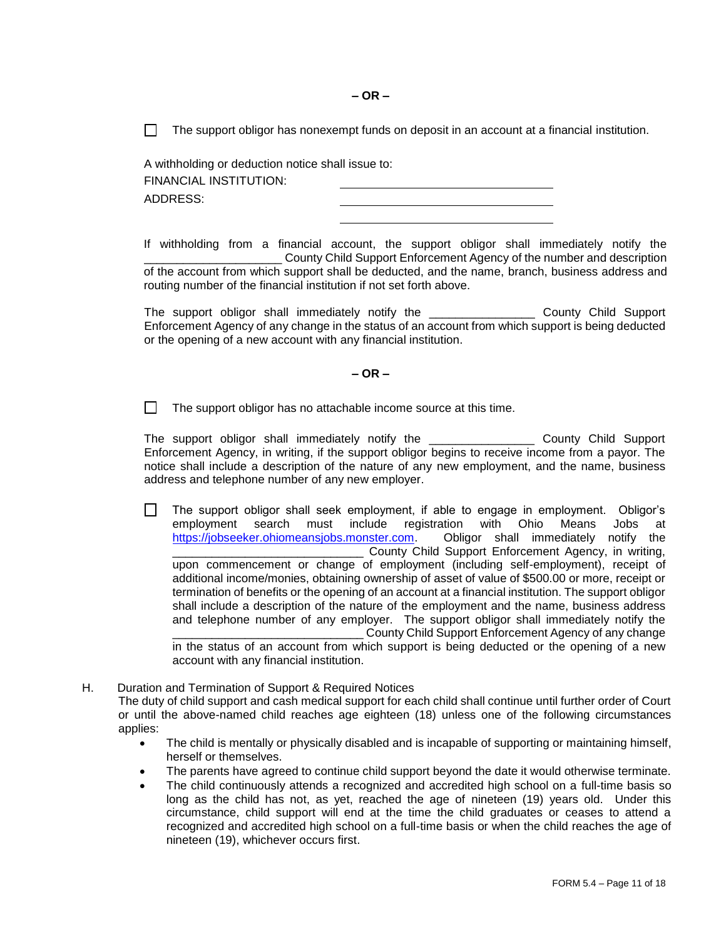**– OR –**

 $\Box$  The support obligor has nonexempt funds on deposit in an account at a financial institution.

A withholding or deduction notice shall issue to: FINANCIAL INSTITUTION: ADDRESS:

If withholding from a financial account, the support obligor shall immediately notify the \_\_\_\_\_\_\_\_\_\_\_\_\_\_\_\_\_\_\_\_\_ County Child Support Enforcement Agency of the number and description of the account from which support shall be deducted, and the name, branch, business address and routing number of the financial institution if not set forth above.

The support obligor shall immediately notify the \_\_\_\_\_\_\_\_\_\_\_\_\_\_\_\_ County Child Support Enforcement Agency of any change in the status of an account from which support is being deducted or the opening of a new account with any financial institution.

#### **– OR –**

 $\Box$ The support obligor has no attachable income source at this time.

The support obligor shall immediately notify the \_\_\_\_\_\_\_\_\_\_\_\_\_\_\_\_ County Child Support Enforcement Agency, in writing, if the support obligor begins to receive income from a payor. The notice shall include a description of the nature of any new employment, and the name, business address and telephone number of any new employer.

 $\Box$ The support obligor shall seek employment, if able to engage in employment. Obligor's employment search must include registration with Ohio Means Jobs at https://jobseeker.ohiomeansjobs.monster.com. Obligor shall immediately notify the [https://jobseeker.ohiomeansjobs.monster.com.](https://jobseeker.ohiomeansjobs.monster.com/) \_\_\_\_\_\_\_\_\_\_\_\_\_\_\_\_\_\_\_\_\_\_\_\_\_\_\_\_\_ County Child Support Enforcement Agency, in writing, upon commencement or change of employment (including self-employment), receipt of additional income/monies, obtaining ownership of asset of value of \$500.00 or more, receipt or termination of benefits or the opening of an account at a financial institution. The support obligor shall include a description of the nature of the employment and the name, business address and telephone number of any employer. The support obligor shall immediately notify the County Child Support Enforcement Agency of any change in the status of an account from which support is being deducted or the opening of a new

account with any financial institution.

- H. Duration and Termination of Support & Required Notices
	- The duty of child support and cash medical support for each child shall continue until further order of Court or until the above-named child reaches age eighteen (18) unless one of the following circumstances applies:
		- The child is mentally or physically disabled and is incapable of supporting or maintaining himself, herself or themselves.
		- The parents have agreed to continue child support beyond the date it would otherwise terminate.
		- The child continuously attends a recognized and accredited high school on a full-time basis so long as the child has not, as yet, reached the age of nineteen (19) years old. Under this circumstance, child support will end at the time the child graduates or ceases to attend a recognized and accredited high school on a full-time basis or when the child reaches the age of nineteen (19), whichever occurs first.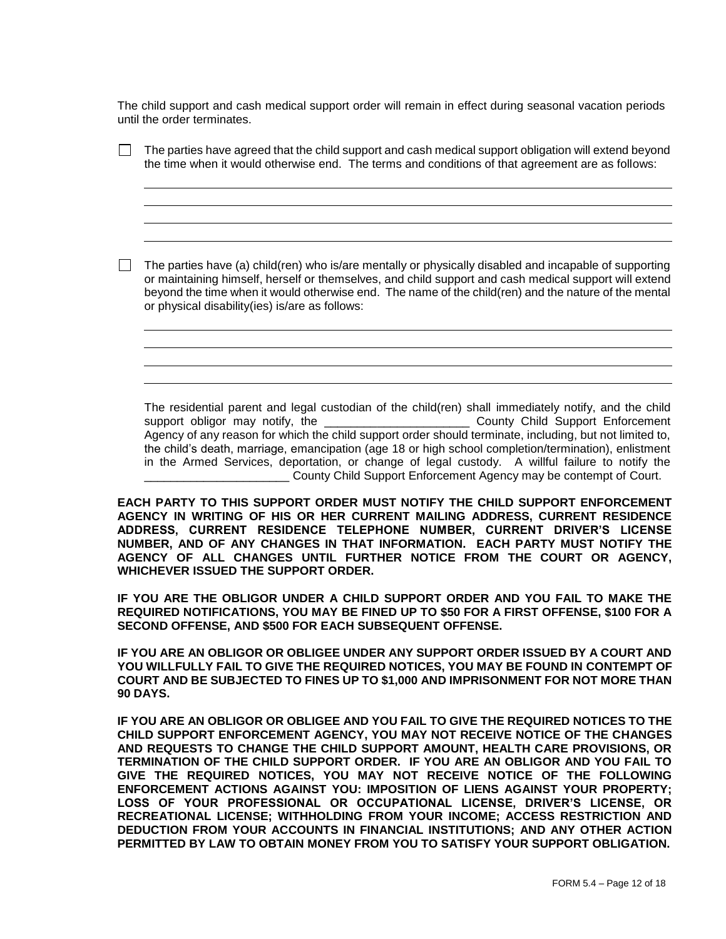The child support and cash medical support order will remain in effect during seasonal vacation periods until the order terminates.

| $\Box$ | The parties have agreed that the child support and cash medical support obligation will extend beyond<br>the time when it would otherwise end. The terms and conditions of that agreement are as follows:                                                                                                                                                                                                                                                                                                         |
|--------|-------------------------------------------------------------------------------------------------------------------------------------------------------------------------------------------------------------------------------------------------------------------------------------------------------------------------------------------------------------------------------------------------------------------------------------------------------------------------------------------------------------------|
|        | The parties have (a) child(ren) who is/are mentally or physically disabled and incapable of supporting<br>or maintaining himself, herself or themselves, and child support and cash medical support will extend<br>beyond the time when it would otherwise end. The name of the child(ren) and the nature of the mental<br>or physical disability(ies) is/are as follows:                                                                                                                                         |
|        | The residential parent and legal custodian of the child(ren) shall immediately notify, and the child                                                                                                                                                                                                                                                                                                                                                                                                              |
|        | the child's death, marriage, emancipation (age 18 or high school completion/termination), enlistment<br>in the Armed Services, deportation, or change of legal custody. A willful failure to notify the<br>County Child Support Enforcement Agency may be contempt of Court.<br>EACH PARTY TO THIS SUPPORT ORDER MUST NOTIFY THE CHILD SUPPORT ENFORCEMENT<br>AGENCY IN WRITING OF HIS OR HER CURRENT MAILING ADDRESS, CURRENT RESIDENCE<br>ADDRESS, CURRENT RESIDENCE TELEPHONE NUMBER, CURRENT DRIVER'S LICENSE |
|        | NUMBER, AND OF ANY CHANGES IN THAT INFORMATION. EACH PARTY MUST NOTIFY THE<br>AGENCY OF ALL CHANGES UNTIL FURTHER NOTICE FROM THE COURT OR AGENCY,<br>WHICHEVER ISSUED THE SUPPORT ORDER.<br>IF YOU ARE THE OBLIGOR UNDER A CHILD SUPPORT ORDER AND YOU FAIL TO MAKE THE<br>REQUIRED NOTIFICATIONS, YOU MAY BE FINED UP TO \$50 FOR A FIRST OFFENSE, \$100 FOR A<br>SECOND OFFENSE, AND \$500 FOR EACH SUBSEQUENT OFFENSE.                                                                                        |

**IF YOU ARE AN OBLIGOR OR OBLIGEE UNDER ANY SUPPORT ORDER ISSUED BY A COURT AND YOU WILLFULLY FAIL TO GIVE THE REQUIRED NOTICES, YOU MAY BE FOUND IN CONTEMPT OF COURT AND BE SUBJECTED TO FINES UP TO \$1,000 AND IMPRISONMENT FOR NOT MORE THAN 90 DAYS.** 

**IF YOU ARE AN OBLIGOR OR OBLIGEE AND YOU FAIL TO GIVE THE REQUIRED NOTICES TO THE CHILD SUPPORT ENFORCEMENT AGENCY, YOU MAY NOT RECEIVE NOTICE OF THE CHANGES AND REQUESTS TO CHANGE THE CHILD SUPPORT AMOUNT, HEALTH CARE PROVISIONS, OR TERMINATION OF THE CHILD SUPPORT ORDER. IF YOU ARE AN OBLIGOR AND YOU FAIL TO GIVE THE REQUIRED NOTICES, YOU MAY NOT RECEIVE NOTICE OF THE FOLLOWING ENFORCEMENT ACTIONS AGAINST YOU: IMPOSITION OF LIENS AGAINST YOUR PROPERTY; LOSS OF YOUR PROFESSIONAL OR OCCUPATIONAL LICENSE, DRIVER'S LICENSE, OR RECREATIONAL LICENSE; WITHHOLDING FROM YOUR INCOME; ACCESS RESTRICTION AND DEDUCTION FROM YOUR ACCOUNTS IN FINANCIAL INSTITUTIONS; AND ANY OTHER ACTION PERMITTED BY LAW TO OBTAIN MONEY FROM YOU TO SATISFY YOUR SUPPORT OBLIGATION.**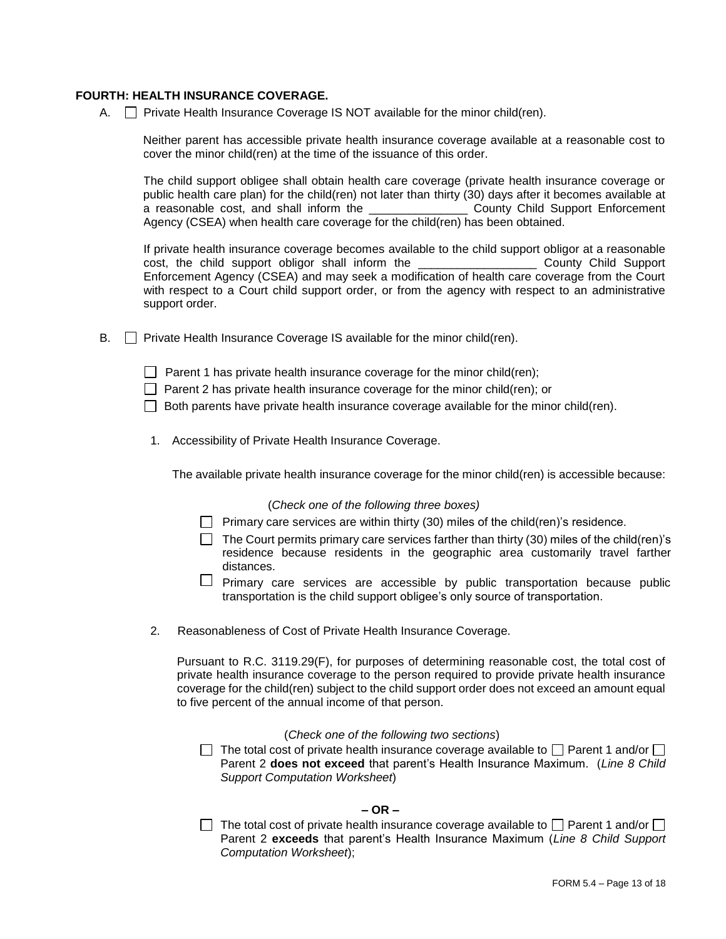#### **FOURTH: HEALTH INSURANCE COVERAGE.**

A.  $\Box$  Private Health Insurance Coverage IS NOT available for the minor child(ren).

Neither parent has accessible private health insurance coverage available at a reasonable cost to cover the minor child(ren) at the time of the issuance of this order.

The child support obligee shall obtain health care coverage (private health insurance coverage or public health care plan) for the child(ren) not later than thirty (30) days after it becomes available at a reasonable cost, and shall inform the \_\_\_\_\_\_\_\_\_\_\_\_\_\_\_\_\_\_\_\_\_\_ County Child Support Enforcement a reasonable cost, and shall inform the Agency (CSEA) when health care coverage for the child(ren) has been obtained.

If private health insurance coverage becomes available to the child support obligor at a reasonable cost, the child support obligor shall inform the \_\_\_\_\_\_\_\_\_\_\_\_\_\_\_\_\_\_ County Child Support Enforcement Agency (CSEA) and may seek a modification of health care coverage from the Court with respect to a Court child support order, or from the agency with respect to an administrative support order.

 $B.$  Private Health Insurance Coverage IS available for the minor child(ren).

**Parent 1 has private health insurance coverage for the minor child(ren);** 

 $\Box$  Parent 2 has private health insurance coverage for the minor child(ren); or

 $\Box$  Both parents have private health insurance coverage available for the minor child(ren).

1. Accessibility of Private Health Insurance Coverage.

The available private health insurance coverage for the minor child(ren) is accessible because:

#### (*Check one of the following three boxes)*

- **Primary care services are within thirty (30) miles of the child(ren)'s residence.**
- $\Box$  The Court permits primary care services farther than thirty (30) miles of the child(ren)'s residence because residents in the geographic area customarily travel farther distances.
- $\Box$  Primary care services are accessible by public transportation because public transportation is the child support obligee's only source of transportation.
- 2. Reasonableness of Cost of Private Health Insurance Coverage.

Pursuant to R.C. 3119.29(F), for purposes of determining reasonable cost, the total cost of private health insurance coverage to the person required to provide private health insurance coverage for the child(ren) subject to the child support order does not exceed an amount equal to five percent of the annual income of that person.

#### (*Check one of the following two sections*)

 $\Box$  The total cost of private health insurance coverage available to  $\Box$  Parent 1 and/or  $\Box$ Parent 2 **does not exceed** that parent's Health Insurance Maximum. (*Line 8 Child Support Computation Worksheet*)

# **– OR –**

The total cost of private health insurance coverage available to  $\Box$  Parent 1 and/or  $\Box$ Parent 2 **exceeds** that parent's Health Insurance Maximum (*Line 8 Child Support Computation Worksheet*);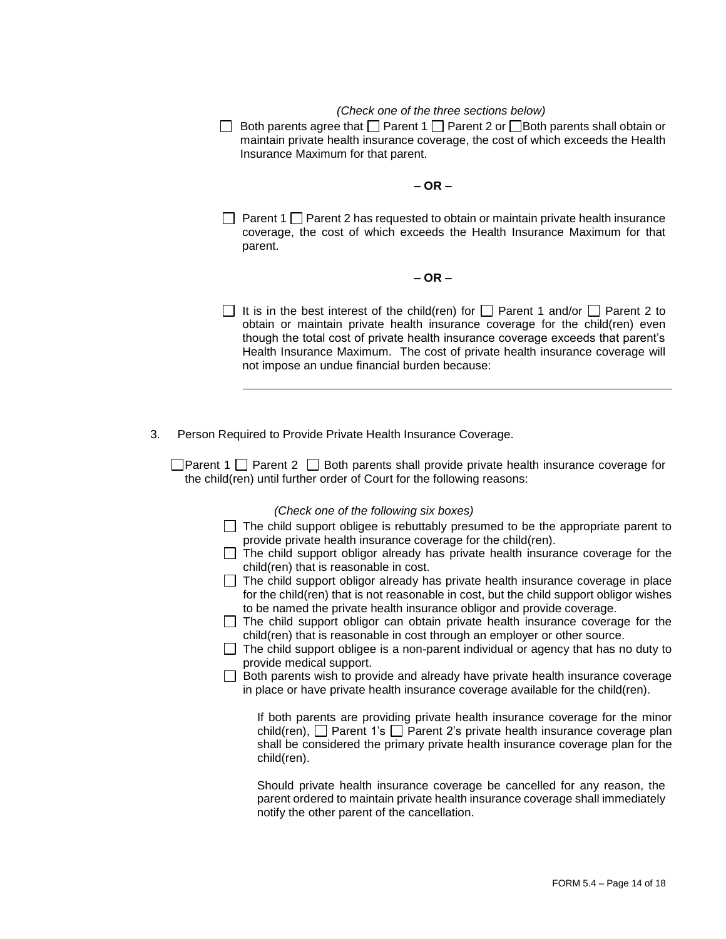# *(Check one of the three sections below)*

Both parents agree that  $\Box$  Parent 1  $\Box$  Parent 2 or  $\Box$  Both parents shall obtain or maintain private health insurance coverage, the cost of which exceeds the Health Insurance Maximum for that parent.

#### **– OR –**

**Parent 1 Parent 2 has requested to obtain or maintain private health insurance** coverage, the cost of which exceeds the Health Insurance Maximum for that parent.

## **– OR –**

- It is in the best interest of the child(ren) for  $\Box$  Parent 1 and/or  $\Box$  Parent 2 to obtain or maintain private health insurance coverage for the child(ren) even though the total cost of private health insurance coverage exceeds that parent's Health Insurance Maximum. The cost of private health insurance coverage will not impose an undue financial burden because:
- 3. Person Required to Provide Private Health Insurance Coverage.

**Parent 1** Parent 2 **P** Both parents shall provide private health insurance coverage for the child(ren) until further order of Court for the following reasons:

#### *(Check one of the following six boxes)*

- $\Box$  The child support obligee is rebuttably presumed to be the appropriate parent to provide private health insurance coverage for the child(ren).
- $\Box$  The child support obligor already has private health insurance coverage for the child(ren) that is reasonable in cost.
- $\Box$  The child support obligor already has private health insurance coverage in place for the child(ren) that is not reasonable in cost, but the child support obligor wishes to be named the private health insurance obligor and provide coverage.
- $\Box$  The child support obligor can obtain private health insurance coverage for the child(ren) that is reasonable in cost through an employer or other source.
- $\Box$  The child support obligee is a non-parent individual or agency that has no duty to provide medical support.
- $\Box$  Both parents wish to provide and already have private health insurance coverage in place or have private health insurance coverage available for the child(ren).

If both parents are providing private health insurance coverage for the minor child(ren),  $\Box$  Parent 1's  $\Box$  Parent 2's private health insurance coverage plan shall be considered the primary private health insurance coverage plan for the child(ren).

Should private health insurance coverage be cancelled for any reason, the parent ordered to maintain private health insurance coverage shall immediately notify the other parent of the cancellation.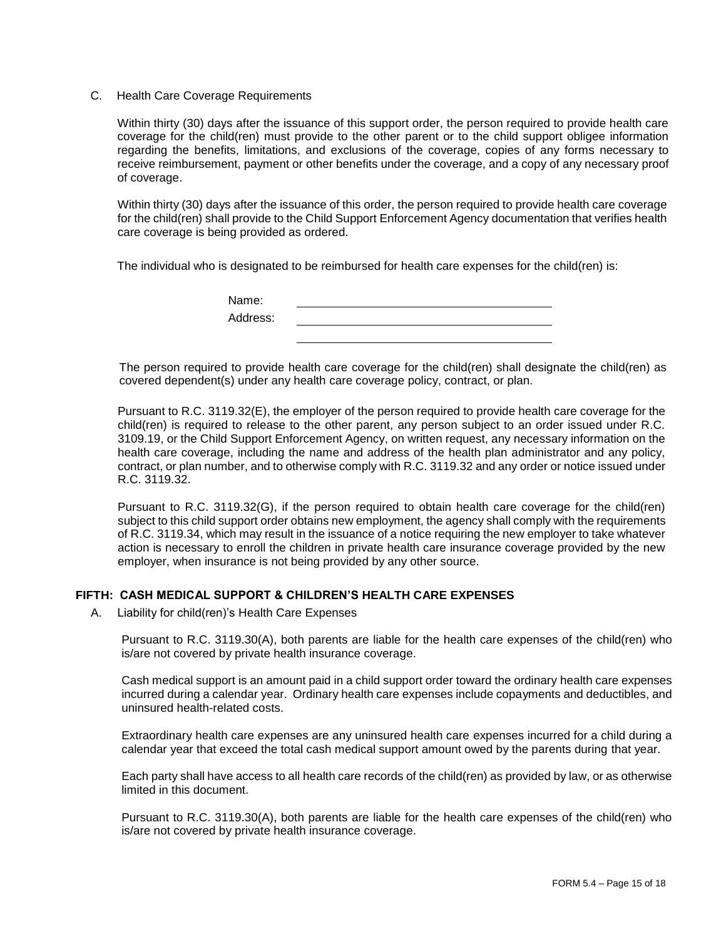#### C. Health Care Coverage Requirements

Within thirty (30) days after the issuance of this support order, the person required to provide health care coverage for the child(ren) must provide to the other parent or to the child support obligee information regarding the benefits, limitations, and exclusions of the coverage, copies of any forms necessary to receive reimbursement, payment or other benefits under the coverage, and a copy of any necessary proof of coverage.

Within thirty (30) days after the issuance of this order, the person required to provide health care coverage for the child(ren) shall provide to the Child Support Enforcement Agency documentation that verifies health care coverage is being provided as ordered.

The individual who is designated to be reimbursed for health care expenses for the child(ren) is:

| Name:    |  |  |
|----------|--|--|
| Address: |  |  |
|          |  |  |

The person required to provide health care coverage for the child(ren) shall designate the child(ren) as covered dependent(s) under any health care coverage policy, contract, or plan.

Pursuant to R.C. 3119.32(E), the employer of the person required to provide health care coverage for the child(ren) is required to release to the other parent, any person subject to an order issued under R.C. 3109.19, or the Child Support Enforcement Agency, on written request, any necessary information on the health care coverage, including the name and address of the health plan administrator and any policy, contract, or plan number, and to otherwise comply with R.C. 3119.32 and any order or notice issued under R.C. 3119.32.

Pursuant to R.C. 3119.32(G), if the person required to obtain health care coverage for the child(ren) subject to this child support order obtains new employment, the agency shall comply with the requirements of R.C. 3119.34, which may result in the issuance of a notice requiring the new employer to take whatever action is necessary to enroll the children in private health care insurance coverage provided by the new employer, when insurance is not being provided by any other source.

## **FIFTH: CASH MEDICAL SUPPORT & CHILDREN'S HEALTH CARE EXPENSES**

A. Liability for child(ren)'s Health Care Expenses

Pursuant to R.C. 3119.30(A), both parents are liable for the health care expenses of the child(ren) who is/are not covered by private health insurance coverage.

Cash medical support is an amount paid in a child support order toward the ordinary health care expenses incurred during a calendar year. Ordinary health care expenses include copayments and deductibles, and uninsured health-related costs.

Extraordinary health care expenses are any uninsured health care expenses incurred for a child during a calendar year that exceed the total cash medical support amount owed by the parents during that year.

Each party shall have access to all health care records of the child(ren) as provided by law, or as otherwise limited in this document.

Pursuant to R.C. 3119.30(A), both parents are liable for the health care expenses of the child(ren) who is/are not covered by private health insurance coverage.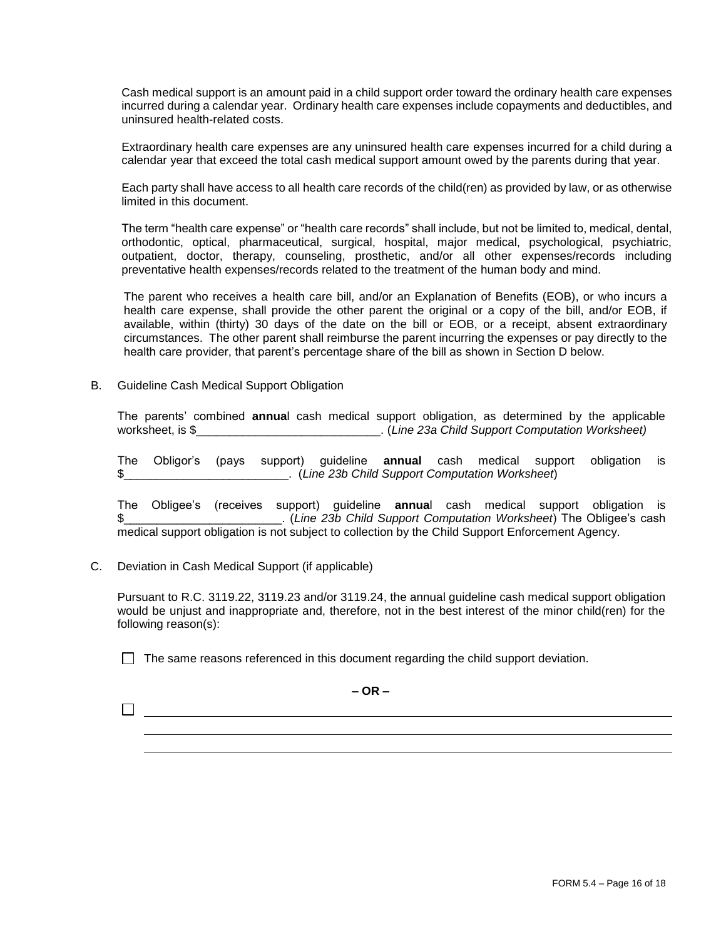Cash medical support is an amount paid in a child support order toward the ordinary health care expenses incurred during a calendar year. Ordinary health care expenses include copayments and deductibles, and uninsured health-related costs.

Extraordinary health care expenses are any uninsured health care expenses incurred for a child during a calendar year that exceed the total cash medical support amount owed by the parents during that year.

Each party shall have access to all health care records of the child(ren) as provided by law, or as otherwise limited in this document.

The term "health care expense" or "health care records" shall include, but not be limited to, medical, dental, orthodontic, optical, pharmaceutical, surgical, hospital, major medical, psychological, psychiatric, outpatient, doctor, therapy, counseling, prosthetic, and/or all other expenses/records including preventative health expenses/records related to the treatment of the human body and mind.

The parent who receives a health care bill, and/or an Explanation of Benefits (EOB), or who incurs a health care expense, shall provide the other parent the original or a copy of the bill, and/or EOB, if available, within (thirty) 30 days of the date on the bill or EOB, or a receipt, absent extraordinary circumstances. The other parent shall reimburse the parent incurring the expenses or pay directly to the health care provider, that parent's percentage share of the bill as shown in Section D below.

B. Guideline Cash Medical Support Obligation

The parents' combined **annua**l cash medical support obligation, as determined by the applicable worksheet, is \$\_\_\_\_\_\_\_\_\_\_\_\_\_\_\_\_\_\_\_\_\_\_\_\_\_\_\_\_. (*Line 23a Child Support Computation Worksheet)*

The Obligor's (pays support) guideline **annual** cash medical support obligation is \$\_\_\_\_\_\_\_\_\_\_\_\_\_\_\_\_\_\_\_\_\_\_\_\_\_. (*Line 23b Child Support Computation Worksheet*)

The Obligee's (receives support) guideline **annua**l cash medical support obligation is \$\_\_\_\_\_\_\_\_\_\_\_\_\_\_\_\_\_\_\_\_\_\_\_\_. (*Line 23b Child Support Computation Worksheet*) The Obligee's cash medical support obligation is not subject to collection by the Child Support Enforcement Agency.

C. Deviation in Cash Medical Support (if applicable)

Pursuant to R.C. 3119.22, 3119.23 and/or 3119.24, the annual guideline cash medical support obligation would be unjust and inappropriate and, therefore, not in the best interest of the minor child(ren) for the following reason(s):

 $\Box$  The same reasons referenced in this document regarding the child support deviation.

**– OR –**

 $\Box$  and the set of the set of the set of the set of the set of the set of the set of the set of the set of the set of the set of the set of the set of the set of the set of the set of the set of the set of the set of the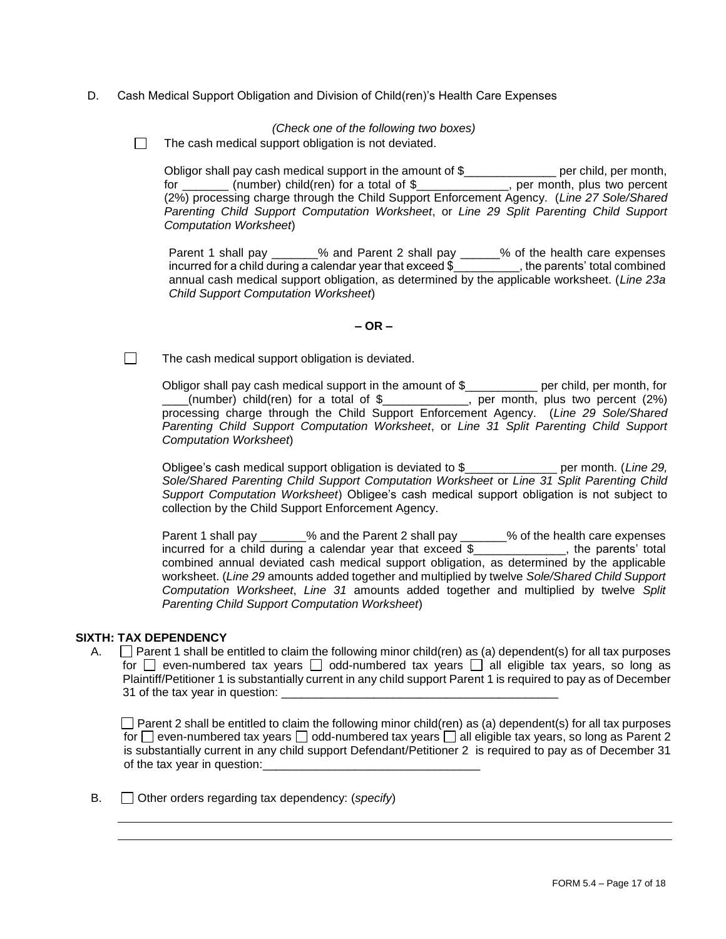D. Cash Medical Support Obligation and Division of Child(ren)'s Health Care Expenses

*(Check one of the following two boxes)*

 $\Box$ The cash medical support obligation is not deviated.

Obligor shall pay cash medical support in the amount of \$\_\_\_\_\_\_\_\_\_\_\_\_\_\_\_\_\_ per child, per month, for \_\_\_\_\_\_\_ (number) child(ren) for a total of \$\_\_\_\_\_\_\_\_\_\_\_\_\_\_, per month, plus two percent (2%) processing charge through the Child Support Enforcement Agency. (*Line 27 Sole/Shared Parenting Child Support Computation Worksheet*, or *Line 29 Split Parenting Child Support Computation Worksheet*)

Parent 1 shall pay \_\_\_\_\_\_\_% and Parent 2 shall pay \_\_\_\_\_\_% of the health care expenses incurred for a child during a calendar year that exceed \$\_\_\_\_\_\_\_\_\_\_, the parents' total combined annual cash medical support obligation, as determined by the applicable worksheet. (*Line 23a Child Support Computation Worksheet*)

#### **– OR –**

 $\Box$ The cash medical support obligation is deviated.

> Obligor shall pay cash medical support in the amount of \$\_\_\_\_\_\_\_\_\_\_\_ per child, per month, for  $\frac{1}{2}$  (number) child(ren) for a total of \$\_\_\_\_\_\_\_\_\_\_, per month, plus two percent (2%) processing charge through the Child Support Enforcement Agency. (*Line 29 Sole/Shared Parenting Child Support Computation Worksheet*, or *Line 31 Split Parenting Child Support Computation Worksheet*)

> Obligee's cash medical support obligation is deviated to \$\_\_\_\_\_\_\_\_\_\_\_\_\_\_ per month. (*Line 29, Sole/Shared Parenting Child Support Computation Worksheet* or *Line 31 Split Parenting Child Support Computation Worksheet*) Obligee's cash medical support obligation is not subject to collection by the Child Support Enforcement Agency.

> Parent 1 shall pay \_\_\_\_\_\_% and the Parent 2 shall pay \_\_\_\_\_\_% of the health care expenses incurred for a child during a calendar year that exceed \$\_\_\_\_\_\_\_\_\_\_\_\_\_\_, the parents' total combined annual deviated cash medical support obligation, as determined by the applicable worksheet. (*Line 29* amounts added together and multiplied by twelve *Sole/Shared Child Support Computation Worksheet*, *Line 31* amounts added together and multiplied by twelve *Split Parenting Child Support Computation Worksheet*)

## **SIXTH: TAX DEPENDENCY**

A.  $\Box$  Parent 1 shall be entitled to claim the following minor child(ren) as (a) dependent(s) for all tax purposes for  $\Box$  even-numbered tax years  $\Box$  odd-numbered tax years  $\Box$  all eligible tax years, so long as Plaintiff/Petitioner 1 is substantially current in any child support Parent 1 is required to pay as of December 31 of the tax year in question:

Parent 2 shall be entitled to claim the following minor child(ren) as (a) dependent(s) for all tax purposes for  $\Box$  even-numbered tax years  $\Box$  odd-numbered tax years  $\Box$  all eligible tax years, so long as Parent 2 is substantially current in any child support Defendant/Petitioner 2 is required to pay as of December 31 of the tax year in question:

B. Other orders regarding tax dependency: (*specify*)